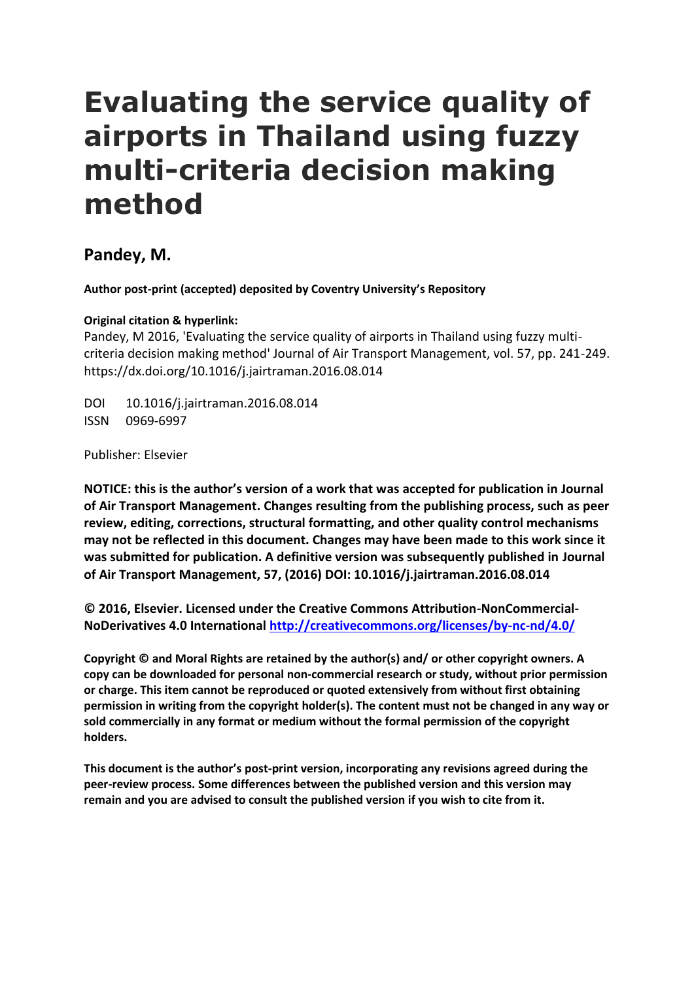# **Evaluating the service quality of airports in Thailand using fuzzy multi-criteria decision making method**

# **Pandey, M.**

**Author post-print (accepted) deposited by Coventry University's Repository**

## **Original citation & hyperlink:**

Pandey, M 2016, 'Evaluating the service quality of airports in Thailand using fuzzy multicriteria decision making method' Journal of Air Transport Management, vol. 57, pp. 241-249. https://dx.doi.org/10.1016/j.jairtraman.2016.08.014

DOI 10.1016/j.jairtraman.2016.08.014 ISSN 0969-6997

Publisher: Elsevier

**NOTICE: this is the author's version of a work that was accepted for publication in Journal of Air Transport Management. Changes resulting from the publishing process, such as peer review, editing, corrections, structural formatting, and other quality control mechanisms may not be reflected in this document. Changes may have been made to this work since it was submitted for publication. A definitive version was subsequently published in Journal of Air Transport Management, 57, (2016) DOI: 10.1016/j.jairtraman.2016.08.014**

**© 2016, Elsevier. Licensed under the Creative Commons Attribution-NonCommercial-NoDerivatives 4.0 International<http://creativecommons.org/licenses/by-nc-nd/4.0/>**

**Copyright © and Moral Rights are retained by the author(s) and/ or other copyright owners. A copy can be downloaded for personal non-commercial research or study, without prior permission or charge. This item cannot be reproduced or quoted extensively from without first obtaining permission in writing from the copyright holder(s). The content must not be changed in any way or sold commercially in any format or medium without the formal permission of the copyright holders.** 

**This document is the author's post-print version, incorporating any revisions agreed during the peer-review process. Some differences between the published version and this version may remain and you are advised to consult the published version if you wish to cite from it.**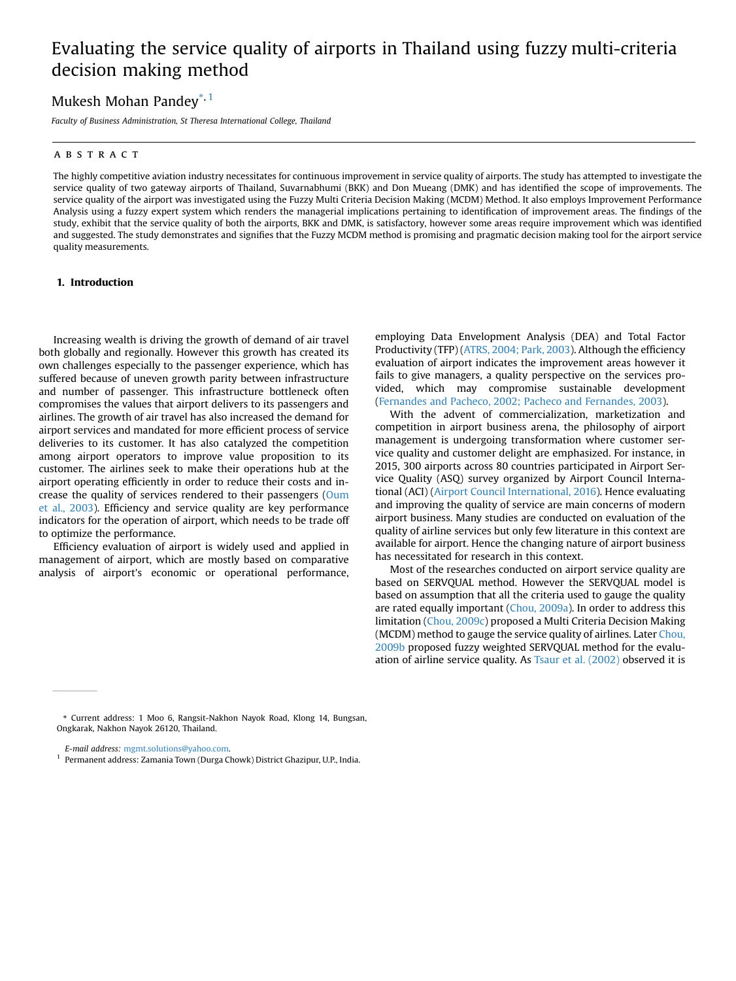## Evaluating the service quality of airports in Thailand using fuzzy multi-criteria decision making method

### Mukesh Mohan Pandey<sup>\*, 1</sup>

Faculty of Business Administration, St Theresa International College, Thailand

#### ABSTRACT

The highly competitive aviation industry necessitates for continuous improvement in service quality of airports. The study has attempted to investigate the service quality of two gateway airports of Thailand, Suvarnabhumi (BKK) and Don Mueang (DMK) and has identified the scope of improvements. The service quality of the airport was investigated using the Fuzzy Multi Criteria Decision Making (MCDM) Method. It also employs Improvement Performance Analysis using a fuzzy expert system which renders the managerial implications pertaining to identification of improvement areas. The findings of the study, exhibit that the service quality of both the airports, BKK and DMK, is satisfactory, however some areas require improvement which was identified and suggested. The study demonstrates and signifies that the Fuzzy MCDM method is promising and pragmatic decision making tool for the [airport](http://crossmark.crossref.org/dialog/?doi=10.1016/j.jairtraman.2016.08.014&domain=pdf) service quality measurements.

#### 1. Introduction

Increasing wealth is driving the growth of demand of air travel both globally and regionally. However this growth has created its own challenges especially to the passenger experience, which has suffered because of uneven growth parity between infrastructure and number of passenger. This infrastructure bottleneck often compromises the values that airport delivers to its passengers and airlines. The growth of air travel has also increased the demand for airport services and mandated for more efficient process of service deliveries to its customer. It has also catalyzed the competition among airport operators to improve value proposition to its customer. The airlines seek to make their operations hub at the airport operating efficiently in order to reduce their costs and in-crease the quality of services rendered to their passengers [\(Oum](#page-9-0) et al., [2003\)](#page-9-0). Efficiency and service quality are key performance indicators for the operation of airport, which needs to be trade off to optimize the performance.

Efficiency evaluation of airport is widely used and applied in management of airport, which are mostly based on comparative analysis of airport's economic or operational performance, employing Data Envelopment Analysis (DEA) and Total Factor Productivity (TFP) (ATRS, [2004;](#page-8-0) Park, 2003). Although the efficiency evaluation of airport indicates the improvement areas however it fails to give managers, a quality perspective on the services provided, which may compromise sustainable development (Fernandes and Pacheco, 2002; Pacheco and [Fernandes,](#page-9-0) 2003).

With the advent of commercialization, marketization and competition in airport business arena, the philosophy of airport management is undergoing transformation where customer service quality and customer delight are emphasized. For instance, in 2015, 300 airports across 80 countries participated in Airport Service Quality (ASQ) survey organized by Airport Council International (ACI) (Airport Council [International,](#page-8-0) 2016). Hence evaluating and improving the quality of service are main concerns of modern airport business. Many studies are conducted on evaluation of the quality of airline services but only few literature in this context are available for airport. Hence the changing nature of airport business has necessitated for research in this context.

Most of the researches conducted on airport service quality are based on SERVQUAL method. However the SERVQUAL model is based on assumption that all the criteria used to gauge the quality are rated equally important (Chou, [2009a\)](#page-9-0). In order to address this limitation (Chou, [2009c](#page-9-0)) proposed a Multi Criteria Decision Making (MCDM) method to gauge the service quality of airlines. Later [Chou,](#page-9-0) [2009b](#page-9-0) proposed fuzzy weighted SERVQUAL method for the evaluation of airline service quality. As Tsaur et al. [\(2002\)](#page-9-0) observed it is

<sup>\*</sup> Current address: 1 Moo 6, Rangsit-Nakhon Nayok Road, Klong 14, Bungsan, Ongkarak, Nakhon Nayok 26120, Thailand.

E-mail address: mgmt.solutions@yahoo.com.

<sup>&</sup>lt;sup>1</sup> Permanent address: Zamania Town (Durga Chowk) District Ghazipur, U.P., India.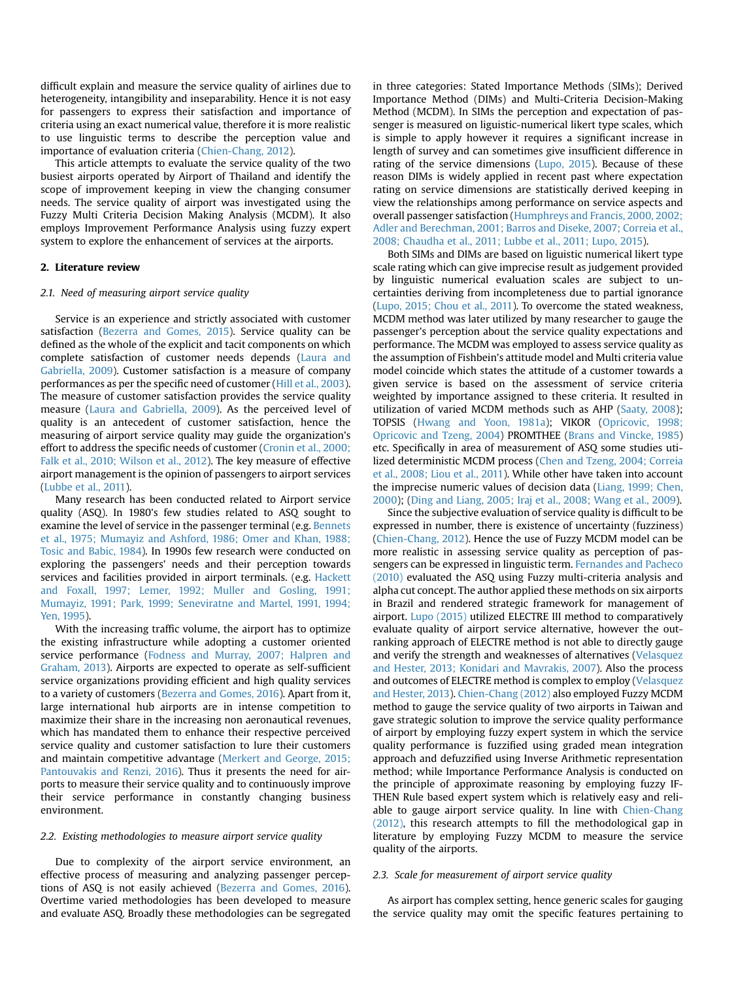difficult explain and measure the service quality of airlines due to heterogeneity, intangibility and inseparability. Hence it is not easy for passengers to express their satisfaction and importance of criteria using an exact numerical value, therefore it is more realistic to use linguistic terms to describe the perception value and importance of evaluation criteria ([Chien-Chang, 2012](#page-8-0)).

This article attempts to evaluate the service quality of the two busiest airports operated by Airport of Thailand and identify the scope of improvement keeping in view the changing consumer needs. The service quality of airport was investigated using the Fuzzy Multi Criteria Decision Making Analysis (MCDM). It also employs Improvement Performance Analysis using fuzzy expert system to explore the enhancement of services at the airports.

#### 2. Literature review

#### 2.1. Need of measuring airport service quality

Service is an experience and strictly associated with customer satisfaction [\(Bezerra and Gomes, 2015](#page-8-0)). Service quality can be defined as the whole of the explicit and tacit components on which complete satisfaction of customer needs depends [\(Laura and](#page-9-0) [Gabriella, 2009](#page-9-0)). Customer satisfaction is a measure of company performances as per the specific need of customer [\(Hill et al., 2003](#page-9-0)). The measure of customer satisfaction provides the service quality measure [\(Laura and Gabriella, 2009\)](#page-9-0). As the perceived level of quality is an antecedent of customer satisfaction, hence the measuring of airport service quality may guide the organization's effort to address the specific needs of customer ([Cronin et al., 2000;](#page-9-0) [Falk et al., 2010; Wilson et al., 2012\)](#page-9-0). The key measure of effective airport management is the opinion of passengers to airport services ([Lubbe et al., 2011\)](#page-9-0).

Many research has been conducted related to Airport service quality (ASQ). In 1980's few studies related to ASQ sought to examine the level of service in the passenger terminal (e.g. [Bennets](#page-8-0) [et al., 1975; Mumayiz and Ashford, 1986; Omer and Khan, 1988;](#page-8-0) [Tosic and Babic, 1984\)](#page-8-0). In 1990s few research were conducted on exploring the passengers' needs and their perception towards services and facilities provided in airport terminals. (e.g. [Hackett](#page-9-0) [and Foxall, 1997; Lemer, 1992; Muller and Gosling, 1991;](#page-9-0) [Mumayiz, 1991; Park, 1999; Seneviratne and Martel, 1991, 1994;](#page-9-0) [Yen, 1995\)](#page-9-0).

With the increasing traffic volume, the airport has to optimize the existing infrastructure while adopting a customer oriented service performance [\(Fodness and Murray, 2007; Halpren and](#page-9-0) [Graham, 2013](#page-9-0)). Airports are expected to operate as self-sufficient service organizations providing efficient and high quality services to a variety of customers ([Bezerra and Gomes, 2016\)](#page-8-0). Apart from it, large international hub airports are in intense competition to maximize their share in the increasing non aeronautical revenues, which has mandated them to enhance their respective perceived service quality and customer satisfaction to lure their customers and maintain competitive advantage ([Merkert and George, 2015;](#page-9-0) [Pantouvakis and Renzi, 2016\)](#page-9-0). Thus it presents the need for airports to measure their service quality and to continuously improve their service performance in constantly changing business environment.

#### 2.2. Existing methodologies to measure airport service quality

Due to complexity of the airport service environment, an effective process of measuring and analyzing passenger perceptions of ASQ is not easily achieved [\(Bezerra and Gomes, 2016](#page-8-0)). Overtime varied methodologies has been developed to measure and evaluate ASQ. Broadly these methodologies can be segregated in three categories: Stated Importance Methods (SIMs); Derived Importance Method (DIMs) and Multi-Criteria Decision-Making Method (MCDM). In SIMs the perception and expectation of passenger is measured on liguistic-numerical likert type scales, which is simple to apply however it requires a significant increase in length of survey and can sometimes give insufficient difference in rating of the service dimensions [\(Lupo, 2015\)](#page-9-0). Because of these reason DIMs is widely applied in recent past where expectation rating on service dimensions are statistically derived keeping in view the relationships among performance on service aspects and overall passenger satisfaction [\(Humphreys and Francis, 2000, 2002;](#page-9-0) [Adler and Berechman, 2001; Barros and Diseke, 2007; Correia et al.,](#page-9-0) [2008; Chaudha et al., 2011; Lubbe et al., 2011; Lupo, 2015](#page-9-0)).

Both SIMs and DIMs are based on liguistic numerical likert type scale rating which can give imprecise result as judgement provided by linguistic numerical evaluation scales are subject to uncertainties deriving from incompleteness due to partial ignorance ([Lupo, 2015; Chou et al., 2011\)](#page-9-0). To overcome the stated weakness, MCDM method was later utilized by many researcher to gauge the passenger's perception about the service quality expectations and performance. The MCDM was employed to assess service quality as the assumption of Fishbein's attitude model and Multi criteria value model coincide which states the attitude of a customer towards a given service is based on the assessment of service criteria weighted by importance assigned to these criteria. It resulted in utilization of varied MCDM methods such as AHP ([Saaty, 2008](#page-9-0)); TOPSIS ([Hwang and Yoon, 1981a\)](#page-9-0); VIKOR ([Opricovic, 1998;](#page-9-0) [Opricovic and Tzeng, 2004\)](#page-9-0) PROMTHEE [\(Brans and Vincke, 1985\)](#page-8-0) etc. Specifically in area of measurement of ASQ some studies utilized deterministic MCDM process ([Chen and Tzeng, 2004; Correia](#page-8-0) [et al., 2008; Liou et al., 2011](#page-8-0)). While other have taken into account the imprecise numeric values of decision data [\(Liang, 1999; Chen,](#page-9-0) [2000](#page-9-0)); ([Ding and Liang, 2005; Iraj et al., 2008; Wang et al., 2009](#page-9-0)).

Since the subjective evaluation of service quality is difficult to be expressed in number, there is existence of uncertainty (fuzziness) ([Chien-Chang, 2012](#page-8-0)). Hence the use of Fuzzy MCDM model can be more realistic in assessing service quality as perception of passengers can be expressed in linguistic term. [Fernandes and Pacheco](#page-9-0) [\(2010\)](#page-9-0) evaluated the ASQ using Fuzzy multi-criteria analysis and alpha cut concept. The author applied these methods on six airports in Brazil and rendered strategic framework for management of airport. [Lupo \(2015\)](#page-9-0) utilized ELECTRE III method to comparatively evaluate quality of airport service alternative, however the outranking approach of ELECTRE method is not able to directly gauge and verify the strength and weaknesses of alternatives ([Velasquez](#page-9-0) [and Hester, 2013; Konidari and Mavrakis, 2007](#page-9-0)). Also the process and outcomes of ELECTRE method is complex to employ ([Velasquez](#page-9-0) [and Hester, 2013](#page-9-0)). [Chien-Chang \(2012\)](#page-8-0) also employed Fuzzy MCDM method to gauge the service quality of two airports in Taiwan and gave strategic solution to improve the service quality performance of airport by employing fuzzy expert system in which the service quality performance is fuzzified using graded mean integration approach and defuzzified using Inverse Arithmetic representation method; while Importance Performance Analysis is conducted on the principle of approximate reasoning by employing fuzzy IF-THEN Rule based expert system which is relatively easy and reliable to gauge airport service quality. In line with [Chien-Chang](#page-8-0) [\(2012\)](#page-8-0), this research attempts to fill the methodological gap in literature by employing Fuzzy MCDM to measure the service quality of the airports.

#### 2.3. Scale for measurement of airport service quality

As airport has complex setting, hence generic scales for gauging the service quality may omit the specific features pertaining to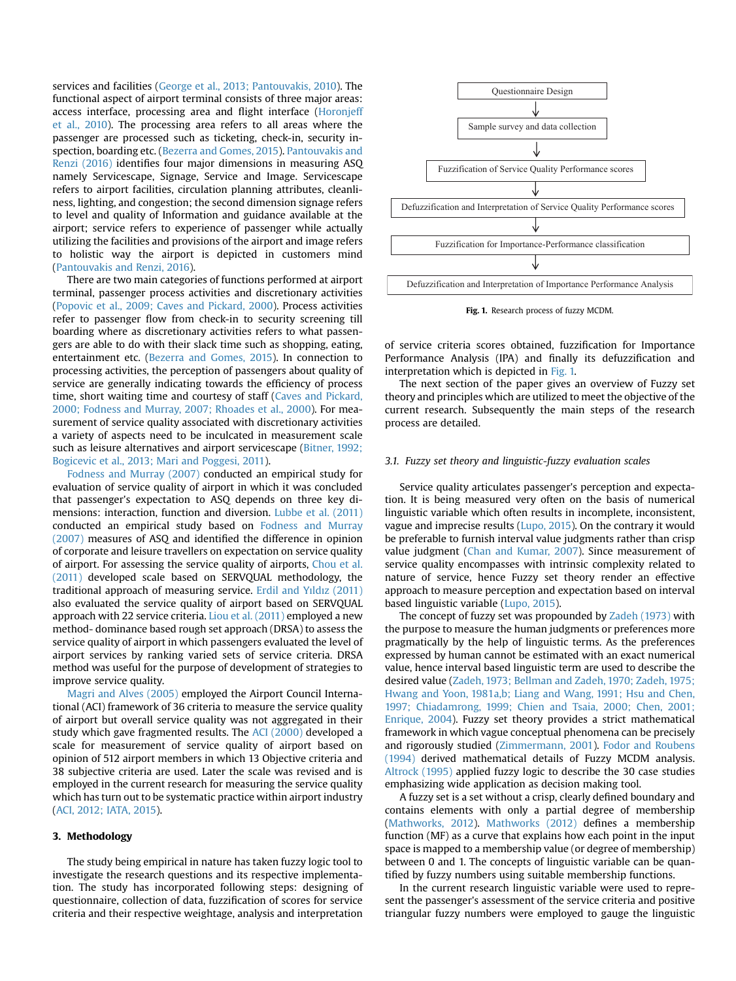services and facilities ([George et al., 2013; Pantouvakis, 2010](#page-9-0)). The functional aspect of airport terminal consists of three major areas: access interface, processing area and flight interface ([Horonjeff](#page-9-0) [et al., 2010\)](#page-9-0). The processing area refers to all areas where the passenger are processed such as ticketing, check-in, security inspection, boarding etc. [\(Bezerra and Gomes, 2015](#page-8-0)). [Pantouvakis and](#page-9-0) [Renzi \(2016\)](#page-9-0) identifies four major dimensions in measuring ASQ namely Servicescape, Signage, Service and Image. Servicescape refers to airport facilities, circulation planning attributes, cleanliness, lighting, and congestion; the second dimension signage refers to level and quality of Information and guidance available at the airport; service refers to experience of passenger while actually utilizing the facilities and provisions of the airport and image refers to holistic way the airport is depicted in customers mind ([Pantouvakis and Renzi, 2016](#page-9-0)).

There are two main categories of functions performed at airport terminal, passenger process activities and discretionary activities ([Popovic et al., 2009; Caves and Pickard, 2000\)](#page-9-0). Process activities refer to passenger flow from check-in to security screening till boarding where as discretionary activities refers to what passengers are able to do with their slack time such as shopping, eating, entertainment etc. ([Bezerra and Gomes, 2015](#page-8-0)). In connection to processing activities, the perception of passengers about quality of service are generally indicating towards the efficiency of process time, short waiting time and courtesy of staff ([Caves and Pickard,](#page-8-0) [2000; Fodness and Murray, 2007; Rhoades et al., 2000\)](#page-8-0). For measurement of service quality associated with discretionary activities a variety of aspects need to be inculcated in measurement scale such as leisure alternatives and airport servicescape ([Bitner, 1992;](#page-8-0) [Bogicevic et al., 2013; Mari and Poggesi, 2011](#page-8-0)).

[Fodness and Murray \(2007\)](#page-9-0) conducted an empirical study for evaluation of service quality of airport in which it was concluded that passenger's expectation to ASQ depends on three key dimensions: interaction, function and diversion. [Lubbe et al. \(2011\)](#page-9-0) conducted an empirical study based on [Fodness and Murray](#page-9-0) [\(2007\)](#page-9-0) measures of ASQ and identified the difference in opinion of corporate and leisure travellers on expectation on service quality of airport. For assessing the service quality of airports, [Chou et al.](#page-9-0) [\(2011\)](#page-9-0) developed scale based on SERVQUAL methodology, the traditional approach of measuring service. [Erdil and Y](#page-9-0)ı[ld](#page-9-0)ı[z \(2011\)](#page-9-0) also evaluated the service quality of airport based on SERVQUAL approach with 22 service criteria. [Liou et al. \(2011\)](#page-9-0) employed a new method- dominance based rough set approach (DRSA) to assess the service quality of airport in which passengers evaluated the level of airport services by ranking varied sets of service criteria. DRSA method was useful for the purpose of development of strategies to improve service quality.

[Magri and Alves \(2005\)](#page-9-0) employed the Airport Council International (ACI) framework of 36 criteria to measure the service quality of airport but overall service quality was not aggregated in their study which gave fragmented results. The [ACI \(2000\)](#page-8-0) developed a scale for measurement of service quality of airport based on opinion of 512 airport members in which 13 Objective criteria and 38 subjective criteria are used. Later the scale was revised and is employed in the current research for measuring the service quality which has turn out to be systematic practice within airport industry ([ACI, 2012; IATA, 2015](#page-8-0)).

#### 3. Methodology

The study being empirical in nature has taken fuzzy logic tool to investigate the research questions and its respective implementation. The study has incorporated following steps: designing of questionnaire, collection of data, fuzzification of scores for service criteria and their respective weightage, analysis and interpretation





of service criteria scores obtained, fuzzification for Importance Performance Analysis (IPA) and finally its defuzzification and interpretation which is depicted in Fig. 1.

The next section of the paper gives an overview of Fuzzy set theory and principles which are utilized to meet the objective of the current research. Subsequently the main steps of the research process are detailed.

#### 3.1. Fuzzy set theory and linguistic-fuzzy evaluation scales

Service quality articulates passenger's perception and expectation. It is being measured very often on the basis of numerical linguistic variable which often results in incomplete, inconsistent, vague and imprecise results ([Lupo, 2015](#page-9-0)). On the contrary it would be preferable to furnish interval value judgments rather than crisp value judgment [\(Chan and Kumar, 2007\)](#page-8-0). Since measurement of service quality encompasses with intrinsic complexity related to nature of service, hence Fuzzy set theory render an effective approach to measure perception and expectation based on interval based linguistic variable [\(Lupo, 2015\)](#page-9-0).

The concept of fuzzy set was propounded by [Zadeh \(1973\)](#page-9-0) with the purpose to measure the human judgments or preferences more pragmatically by the help of linguistic terms. As the preferences expressed by human cannot be estimated with an exact numerical value, hence interval based linguistic term are used to describe the desired value ([Zadeh, 1973; Bellman and Zadeh, 1970; Zadeh, 1975;](#page-9-0) [Hwang and Yoon, 1981a,b; Liang and Wang, 1991; Hsu and Chen,](#page-9-0) [1997; Chiadamrong, 1999; Chien and Tsaia, 2000; Chen, 2001;](#page-9-0) [Enrique, 2004\)](#page-9-0). Fuzzy set theory provides a strict mathematical framework in which vague conceptual phenomena can be precisely and rigorously studied [\(Zimmermann, 2001](#page-9-0)). [Fodor and Roubens](#page-9-0) [\(1994\)](#page-9-0) derived mathematical details of Fuzzy MCDM analysis. [Altrock \(1995\)](#page-8-0) applied fuzzy logic to describe the 30 case studies emphasizing wide application as decision making tool.

A fuzzy set is a set without a crisp, clearly defined boundary and contains elements with only a partial degree of membership ([Mathworks, 2012](#page-9-0)). [Mathworks \(2012\)](#page-9-0) defines a membership function (MF) as a curve that explains how each point in the input space is mapped to a membership value (or degree of membership) between 0 and 1. The concepts of linguistic variable can be quantified by fuzzy numbers using suitable membership functions.

In the current research linguistic variable were used to represent the passenger's assessment of the service criteria and positive triangular fuzzy numbers were employed to gauge the linguistic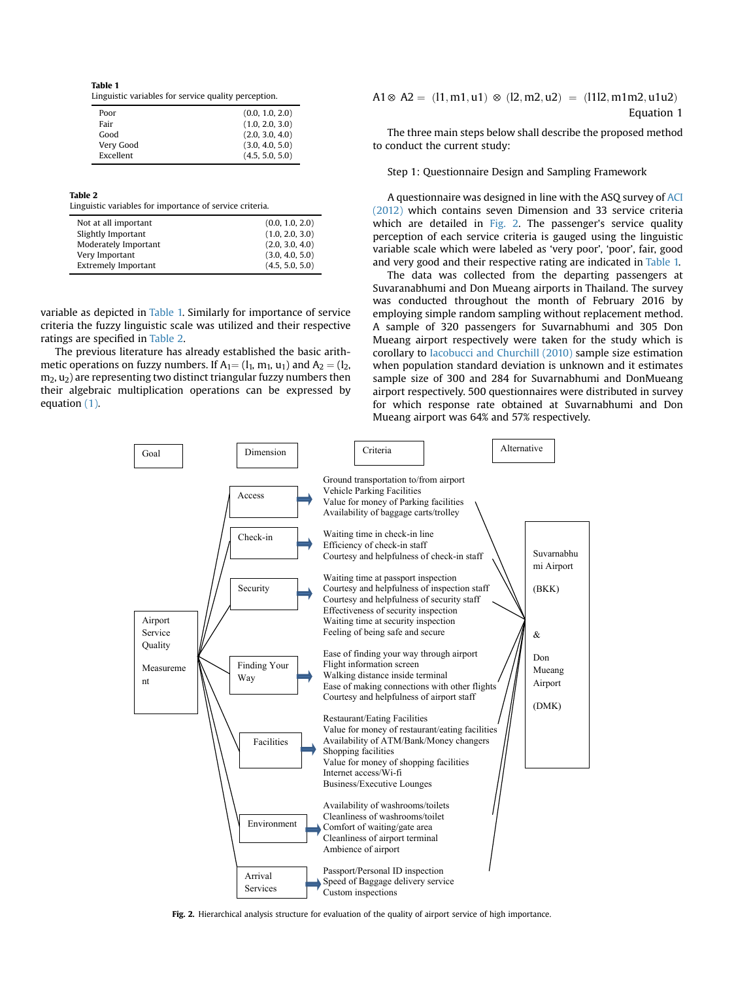<span id="page-4-0"></span>Table 1 Linguistic variables for service quality perception.

| Poor      | (0.0, 1.0, 2.0) |
|-----------|-----------------|
| Fair      | (1.0, 2.0, 3.0) |
| Good      | (2.0, 3.0, 4.0) |
| Very Good | (3.0, 4.0, 5.0) |
| Excellent | (4.5, 5.0, 5.0) |

Table 2

Linguistic variables for importance of service criteria.

| Not at all important<br>Slightly Important<br>Moderately Important | (0.0, 1.0, 2.0)<br>(1.0, 2.0, 3.0)<br>(2.0, 3.0, 4.0) |
|--------------------------------------------------------------------|-------------------------------------------------------|
| Very Important                                                     | (3.0, 4.0, 5.0)                                       |
| <b>Extremely Important</b>                                         | (4.5, 5.0, 5.0)                                       |

variable as depicted in Table 1. Similarly for importance of service criteria the fuzzy linguistic scale was utilized and their respective ratings are specified in Table 2.

The previous literature has already established the basic arithmetic operations on fuzzy numbers. If  $A_1 = (l_1, m_1, u_1)$  and  $A_2 = (l_2,$  $m<sub>2</sub>$ ,  $u<sub>2</sub>$ ) are representing two distinct triangular fuzzy numbers then their algebraic multiplication operations can be expressed by equation (1).

$$
A1 \otimes A2 = (11, m1, u1) \otimes (12, m2, u2) = (1112, m1m2, u1u2)
$$
  
Equation 1

The three main steps below shall describe the proposed method to conduct the current study:

Step 1: Questionnaire Design and Sampling Framework

A questionnaire was designed in line with the ASQ survey of [ACI](#page-8-0) [\(2012\)](#page-8-0) which contains seven Dimension and 33 service criteria which are detailed in Fig. 2. The passenger's service quality perception of each service criteria is gauged using the linguistic variable scale which were labeled as 'very poor', 'poor', fair, good and very good and their respective rating are indicated in Table 1.

The data was collected from the departing passengers at Suvaranabhumi and Don Mueang airports in Thailand. The survey was conducted throughout the month of February 2016 by employing simple random sampling without replacement method. A sample of 320 passengers for Suvarnabhumi and 305 Don Mueang airport respectively were taken for the study which is corollary to [Iacobucci and Churchill \(2010\)](#page-9-0) sample size estimation when population standard deviation is unknown and it estimates sample size of 300 and 284 for Suvarnabhumi and DonMueang airport respectively. 500 questionnaires were distributed in survey for which response rate obtained at Suvarnabhumi and Don Mueang airport was 64% and 57% respectively.



Fig. 2. Hierarchical analysis structure for evaluation of the quality of airport service of high importance.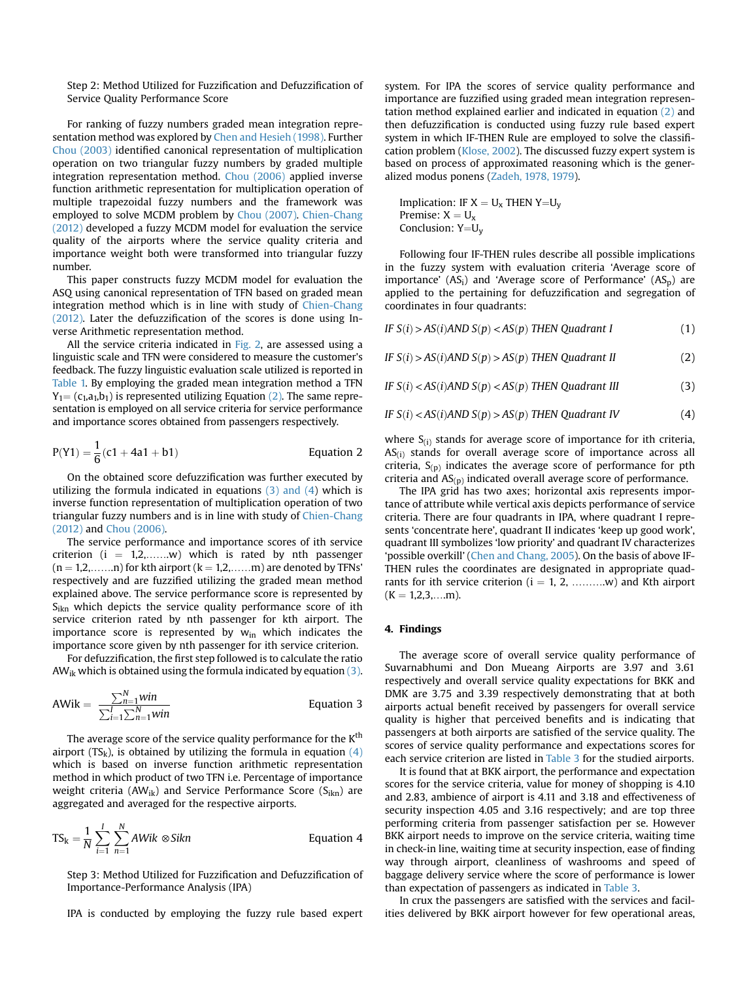Step 2: Method Utilized for Fuzzification and Defuzzification of Service Quality Performance Score

For ranking of fuzzy numbers graded mean integration representation method was explored by [Chen and Hesieh \(1998\).](#page-8-0) Further [Chou \(2003\)](#page-8-0) identified canonical representation of multiplication operation on two triangular fuzzy numbers by graded multiple integration representation method. [Chou \(2006\)](#page-8-0) applied inverse function arithmetic representation for multiplication operation of multiple trapezoidal fuzzy numbers and the framework was employed to solve MCDM problem by [Chou \(2007\).](#page-9-0) [Chien-Chang](#page-8-0) [\(2012\)](#page-8-0) developed a fuzzy MCDM model for evaluation the service quality of the airports where the service quality criteria and importance weight both were transformed into triangular fuzzy number.

This paper constructs fuzzy MCDM model for evaluation the ASQ using canonical representation of TFN based on graded mean integration method which is in line with study of [Chien-Chang](#page-8-0) [\(2012\).](#page-8-0) Later the defuzzification of the scores is done using Inverse Arithmetic representation method.

All the service criteria indicated in [Fig. 2,](#page-4-0) are assessed using a linguistic scale and TFN were considered to measure the customer's feedback. The fuzzy linguistic evaluation scale utilized is reported in [Table 1.](#page-4-0) By employing the graded mean integration method a TFN  $Y_1 = (c_1, a_1, b_1)$  is represented utilizing Equation (2). The same representation is employed on all service criteria for service performance and importance scores obtained from passengers respectively.

$$
P(Y1) = \frac{1}{6}(c1 + 4a1 + b1)
$$
 Equation 2

On the obtained score defuzzification was further executed by utilizing the formula indicated in equations (3) and (4) which is inverse function representation of multiplication operation of two triangular fuzzy numbers and is in line with study of [Chien-Chang](#page-8-0) [\(2012\)](#page-8-0) and [Chou \(2006\)](#page-8-0).

The service performance and importance scores of ith service criterion  $(i = 1,2,......w)$  which is rated by nth passenger  $(n = 1,2, \ldots, n)$  for kth airport  $(k = 1,2, \ldots, m)$  are denoted by TFNs' respectively and are fuzzified utilizing the graded mean method explained above. The service performance score is represented by  $S_{ikn}$  which depicts the service quality performance score of ith service criterion rated by nth passenger for kth airport. The importance score is represented by  $w_{in}$  which indicates the importance score given by nth passenger for ith service criterion.

For defuzzification, the first step followed is to calculate the ratio AW<sub>ik</sub> which is obtained using the formula indicated by equation  $(3)$ .

$$
AWik = \frac{\sum_{n=1}^{N}win}{\sum_{i=1}^{I}\sum_{n=1}^{N}win}
$$
 Equation 3

The average score of the service quality performance for the K<sup>th</sup> airport (TS<sub>k</sub>), is obtained by utilizing the formula in equation (4) which is based on inverse function arithmetic representation method in which product of two TFN i.e. Percentage of importance weight criteria (AW<sub>ik</sub>) and Service Performance Score (S<sub>ikn</sub>) are aggregated and averaged for the respective airports.

$$
TS_k = \frac{1}{N} \sum_{i=1}^{I} \sum_{n=1}^{N} AWik \otimes Sikn
$$
 Equation 4

Step 3: Method Utilized for Fuzzification and Defuzzification of Importance-Performance Analysis (IPA)

IPA is conducted by employing the fuzzy rule based expert

system. For IPA the scores of service quality performance and importance are fuzzified using graded mean integration representation method explained earlier and indicated in equation (2) and then defuzzification is conducted using fuzzy rule based expert system in which IF-THEN Rule are employed to solve the classification problem ([Klose, 2002\)](#page-9-0). The discussed fuzzy expert system is based on process of approximated reasoning which is the generalized modus ponens ([Zadeh, 1978, 1979\)](#page-9-0).

Implication: IF  $X = U_x$  THEN Y=U<sub>v</sub> Premise:  $X = U_x$ Conclusion:  $Y=U_y$ 

Following four IF-THEN rules describe all possible implications in the fuzzy system with evaluation criteria 'Average score of importance'  $(AS_i)$  and 'Average score of Performance'  $(AS_n)$  are applied to the pertaining for defuzzification and segregation of coordinates in four quadrants:

IF  $S(i) > AS(i)$ AND  $S(p) < AS(p)$  THEN Quadrant I (1)

IF 
$$
S(i) > AS(i)AND S(p) > AS(p)
$$
 THEN Quadrant II (2)

IF 
$$
S(i) < AS(i) \land \text{NDD } S(p) < AS(p) \text{ THEN Quadrant III}
$$
 (3)

IF 
$$
S(i)
$$
  $\langle AS(i)AND S(p) \rangle AS(p)$  THEN Quadrant IV (4)

where  $S_{(i)}$  stands for average score of importance for ith criteria,  $AS<sub>(i)</sub>$  stands for overall average score of importance across all criteria,  $S_{(p)}$  indicates the average score of performance for pth criteria and  $AS_{(p)}$  indicated overall average score of performance.

The IPA grid has two axes; horizontal axis represents importance of attribute while vertical axis depicts performance of service criteria. There are four quadrants in IPA, where quadrant I represents 'concentrate here', quadrant II indicates 'keep up good work', quadrant III symbolizes 'low priority' and quadrant IV characterizes 'possible overkill' [\(Chen and Chang, 2005\)](#page-8-0). On the basis of above IF-THEN rules the coordinates are designated in appropriate quadrants for ith service criterion  $(i = 1, 2, ...,..., w)$  and Kth airport  $(K = 1,2,3,...m).$ 

#### 4. Findings

The average score of overall service quality performance of Suvarnabhumi and Don Mueang Airports are 3.97 and 3.61 respectively and overall service quality expectations for BKK and DMK are 3.75 and 3.39 respectively demonstrating that at both airports actual benefit received by passengers for overall service quality is higher that perceived benefits and is indicating that passengers at both airports are satisfied of the service quality. The scores of service quality performance and expectations scores for each service criterion are listed in [Table 3](#page-6-0) for the studied airports.

It is found that at BKK airport, the performance and expectation scores for the service criteria, value for money of shopping is 4.10 and 2.83, ambience of airport is 4.11 and 3.18 and effectiveness of security inspection 4.05 and 3.16 respectively; and are top three performing criteria from passenger satisfaction per se. However BKK airport needs to improve on the service criteria, waiting time in check-in line, waiting time at security inspection, ease of finding way through airport, cleanliness of washrooms and speed of baggage delivery service where the score of performance is lower than expectation of passengers as indicated in [Table 3](#page-6-0).

In crux the passengers are satisfied with the services and facilities delivered by BKK airport however for few operational areas,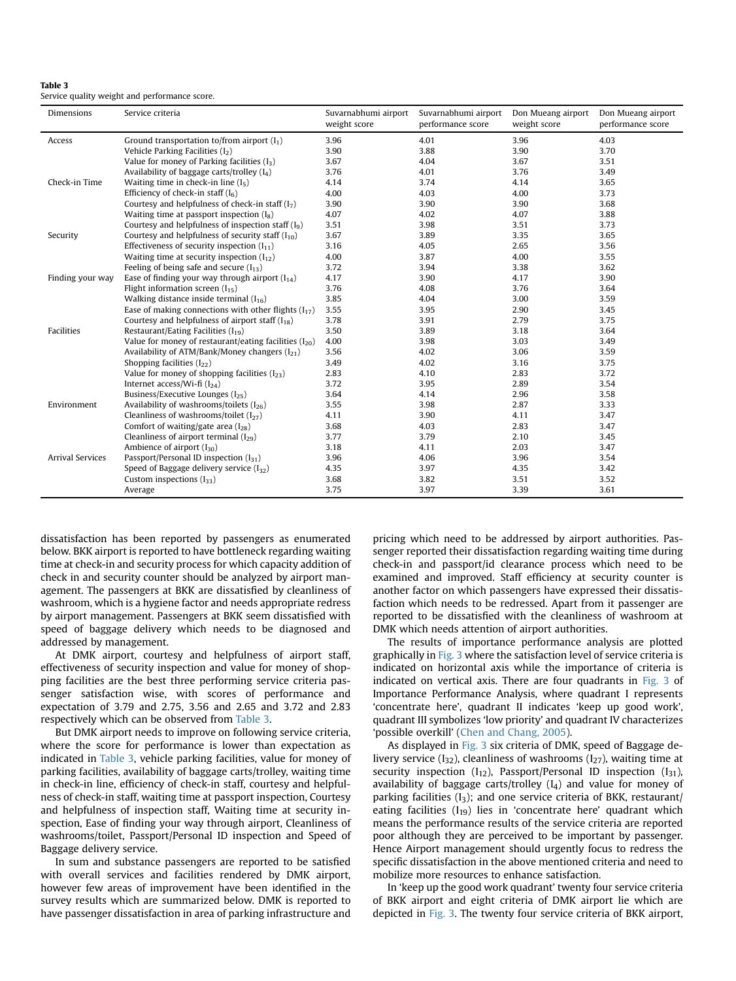| Tanic J                                       |  |  |
|-----------------------------------------------|--|--|
| Service quality weight and performance score. |  |  |

<span id="page-6-0"></span>Table 3

| <b>Dimensions</b>       | Service criteria                                           | Suvarnabhumi airport<br>weight score | Suvarnabhumi airport<br>performance score | Don Mueang airport<br>weight score | Don Mueang airport<br>performance score |
|-------------------------|------------------------------------------------------------|--------------------------------------|-------------------------------------------|------------------------------------|-----------------------------------------|
| Access                  | Ground transportation to/from airport $(I_1)$              | 3.96                                 | 4.01                                      | 3.96                               | 4.03                                    |
|                         | Vehicle Parking Facilities $(I_2)$                         | 3.90                                 | 3.88                                      | 3.90                               | 3.70                                    |
|                         | Value for money of Parking facilities $(I_3)$              | 3.67                                 | 4.04                                      | 3.67                               | 3.51                                    |
|                         | Availability of baggage carts/trolley $(I_4)$              | 3.76                                 | 4.01                                      | 3.76                               | 3.49                                    |
| Check-in Time           | Waiting time in check-in line $(I_5)$                      | 4.14                                 | 3.74                                      | 4.14                               | 3.65                                    |
|                         | Efficiency of check-in staff $(I_6)$                       | 4.00                                 | 4.03                                      | 4.00                               | 3.73                                    |
|                         | Courtesy and helpfulness of check-in staff $(I_7)$         | 3.90                                 | 3.90                                      | 3.90                               | 3.68                                    |
|                         | Waiting time at passport inspection $(I_8)$                | 4.07                                 | 4.02                                      | 4.07                               | 3.88                                    |
|                         | Courtesy and helpfulness of inspection staff $(I_9)$       | 3.51                                 | 3.98                                      | 3.51                               | 3.73                                    |
| Security                | Courtesy and helpfulness of security staff $(I_{10})$      | 3.67                                 | 3.89                                      | 3.35                               | 3.65                                    |
|                         | Effectiveness of security inspection $(I_{11})$            | 3.16                                 | 4.05                                      | 2.65                               | 3.56                                    |
|                         | Waiting time at security inspection $(I_{12})$             | 4.00                                 | 3.87                                      | 4.00                               | 3.55                                    |
|                         | Feeling of being safe and secure $(I_{13})$                | 3.72                                 | 3.94                                      | 3.38                               | 3.62                                    |
| Finding your way        | Ease of finding your way through airport $(I_{14})$        | 4.17                                 | 3.90                                      | 4.17                               | 3.90                                    |
|                         | Flight information screen $(I_{15})$                       | 3.76                                 | 4.08                                      | 3.76                               | 3.64                                    |
|                         | Walking distance inside terminal $(I_{16})$                | 3.85                                 | 4.04                                      | 3.00                               | 3.59                                    |
|                         | Ease of making connections with other flights $(I_{17})$   | 3.55                                 | 3.95                                      | 2.90                               | 3.45                                    |
|                         | Courtesy and helpfulness of airport staff $(I_{18})$       | 3.78                                 | 3.91                                      | 2.79                               | 3.75                                    |
| Facilities              | Restaurant/Eating Facilities $(I_{19})$                    | 3.50                                 | 3.89                                      | 3.18                               | 3.64                                    |
|                         | Value for money of restaurant/eating facilities $(I_{20})$ | 4.00                                 | 3.98                                      | 3.03                               | 3.49                                    |
|                         | Availability of ATM/Bank/Money changers $(I_{21})$         | 3.56                                 | 4.02                                      | 3.06                               | 3.59                                    |
|                         | Shopping facilities $(I_{22})$                             | 3.49                                 | 4.02                                      | 3.16                               | 3.75                                    |
|                         | Value for money of shopping facilities $(I_{23})$          | 2.83                                 | 4.10                                      | 2.83                               | 3.72                                    |
|                         | Internet access/Wi-fi $(I_{24})$                           | 3.72                                 | 3.95                                      | 2.89                               | 3.54                                    |
|                         | Business/Executive Lounges (I <sub>25</sub> )              | 3.64                                 | 4.14                                      | 2.96                               | 3.58                                    |
| Environment             | Availability of washrooms/toilets $(I_{26})$               | 3.55                                 | 3.98                                      | 2.87                               | 3.33                                    |
|                         | Cleanliness of washrooms/toilet $(I_{27})$                 | 4.11                                 | 3.90                                      | 4.11                               | 3.47                                    |
|                         | Comfort of waiting/gate area $(I_{28})$                    | 3.68                                 | 4.03                                      | 2.83                               | 3.47                                    |
|                         | Cleanliness of airport terminal $(I_{29})$                 | 3.77                                 | 3.79                                      | 2.10                               | 3.45                                    |
|                         | Ambience of airport $(I_{30})$                             | 3.18                                 | 4.11                                      | 2.03                               | 3.47                                    |
| <b>Arrival Services</b> | Passport/Personal ID inspection $(I_{31})$                 | 3.96                                 | 4.06                                      | 3.96                               | 3.54                                    |
|                         | Speed of Baggage delivery service $(I_{32})$               | 4.35                                 | 3.97                                      | 4.35                               | 3.42                                    |
|                         | Custom inspections $(I_{33})$                              | 3.68                                 | 3.82                                      | 3.51                               | 3.52                                    |
|                         | Average                                                    | 3.75                                 | 3.97                                      | 3.39                               | 3.61                                    |

dissatisfaction has been reported by passengers as enumerated below. BKK airport is reported to have bottleneck regarding waiting time at check-in and security process for which capacity addition of check in and security counter should be analyzed by airport management. The passengers at BKK are dissatisfied by cleanliness of washroom, which is a hygiene factor and needs appropriate redress by airport management. Passengers at BKK seem dissatisfied with speed of baggage delivery which needs to be diagnosed and addressed by management.

At DMK airport, courtesy and helpfulness of airport staff, effectiveness of security inspection and value for money of shopping facilities are the best three performing service criteria passenger satisfaction wise, with scores of performance and expectation of 3.79 and 2.75, 3.56 and 2.65 and 3.72 and 2.83 respectively which can be observed from Table 3.

But DMK airport needs to improve on following service criteria, where the score for performance is lower than expectation as indicated in Table 3, vehicle parking facilities, value for money of parking facilities, availability of baggage carts/trolley, waiting time in check-in line, efficiency of check-in staff, courtesy and helpfulness of check-in staff, waiting time at passport inspection, Courtesy and helpfulness of inspection staff, Waiting time at security inspection, Ease of finding your way through airport, Cleanliness of washrooms/toilet, Passport/Personal ID inspection and Speed of Baggage delivery service.

In sum and substance passengers are reported to be satisfied with overall services and facilities rendered by DMK airport, however few areas of improvement have been identified in the survey results which are summarized below. DMK is reported to have passenger dissatisfaction in area of parking infrastructure and pricing which need to be addressed by airport authorities. Passenger reported their dissatisfaction regarding waiting time during check-in and passport/id clearance process which need to be examined and improved. Staff efficiency at security counter is another factor on which passengers have expressed their dissatisfaction which needs to be redressed. Apart from it passenger are reported to be dissatisfied with the cleanliness of washroom at DMK which needs attention of airport authorities.

The results of importance performance analysis are plotted graphically in [Fig. 3](#page-7-0) where the satisfaction level of service criteria is indicated on horizontal axis while the importance of criteria is indicated on vertical axis. There are four quadrants in [Fig. 3](#page-7-0) of Importance Performance Analysis, where quadrant I represents 'concentrate here', quadrant II indicates 'keep up good work', quadrant III symbolizes 'low priority' and quadrant IV characterizes 'possible overkill' ([Chen and Chang, 2005](#page-8-0)).

As displayed in [Fig. 3](#page-7-0) six criteria of DMK, speed of Baggage delivery service  $(I_{32})$ , cleanliness of washrooms  $(I_{27})$ , waiting time at security inspection  $(I_{12})$ , Passport/Personal ID inspection  $(I_{31})$ , availability of baggage carts/trolley  $(I_4)$  and value for money of parking facilities  $(I_3)$ ; and one service criteria of BKK, restaurant/ eating facilities  $(I_{19})$  lies in 'concentrate here' quadrant which means the performance results of the service criteria are reported poor although they are perceived to be important by passenger. Hence Airport management should urgently focus to redress the specific dissatisfaction in the above mentioned criteria and need to mobilize more resources to enhance satisfaction.

In 'keep up the good work quadrant' twenty four service criteria of BKK airport and eight criteria of DMK airport lie which are depicted in [Fig. 3.](#page-7-0) The twenty four service criteria of BKK airport,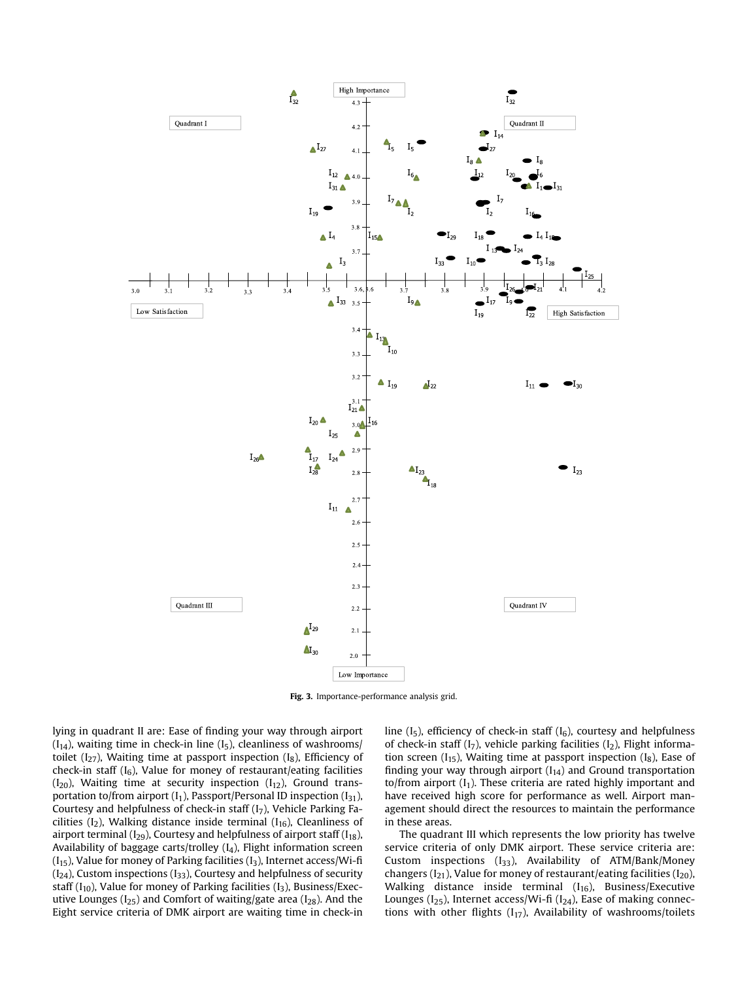<span id="page-7-0"></span>

Fig. 3. Importance-performance analysis grid.

lying in quadrant II are: Ease of finding your way through airport  $(I<sub>14</sub>)$ , waiting time in check-in line  $(I<sub>5</sub>)$ , cleanliness of washrooms/ toilet  $(I_{27})$ , Waiting time at passport inspection  $(I_8)$ , Efficiency of check-in staff  $(I_6)$ , Value for money of restaurant/eating facilities  $(I_{20})$ , Waiting time at security inspection  $(I_{12})$ , Ground transportation to/from airport  $(I_1)$ , Passport/Personal ID inspection  $(I_{31})$ , Courtesy and helpfulness of check-in staff  $(I_7)$ , Vehicle Parking Facilities ( $I_2$ ), Walking distance inside terminal ( $I_{16}$ ), Cleanliness of airport terminal ( $I_{29}$ ), Courtesy and helpfulness of airport staff ( $I_{18}$ ), Availability of baggage carts/trolley  $(I_4)$ , Flight information screen  $(I_{15})$ , Value for money of Parking facilities  $(I_3)$ , Internet access/Wi-fi  $(I<sub>24</sub>)$ , Custom inspections  $(I<sub>33</sub>)$ , Courtesy and helpfulness of security staff ( $I_{10}$ ), Value for money of Parking facilities ( $I_3$ ), Business/Executive Lounges ( $I_{25}$ ) and Comfort of waiting/gate area ( $I_{28}$ ). And the Eight service criteria of DMK airport are waiting time in check-in line  $(I_5)$ , efficiency of check-in staff  $(I_6)$ , courtesy and helpfulness of check-in staff  $(I_7)$ , vehicle parking facilities  $(I_2)$ , Flight information screen  $(I_{15})$ , Waiting time at passport inspection  $(I_8)$ , Ease of finding your way through airport  $(I_{14})$  and Ground transportation to/from airport  $(I_1)$ . These criteria are rated highly important and have received high score for performance as well. Airport management should direct the resources to maintain the performance in these areas.

The quadrant III which represents the low priority has twelve service criteria of only DMK airport. These service criteria are: Custom inspections  $(I_{33})$ , Availability of ATM/Bank/Money changers ( $I_{21}$ ), Value for money of restaurant/eating facilities ( $I_{20}$ ), Walking distance inside terminal  $(I_{16})$ , Business/Executive Lounges ( $I_{25}$ ), Internet access/Wi-fi ( $I_{24}$ ), Ease of making connections with other flights  $(I_{17})$ , Availability of washrooms/toilets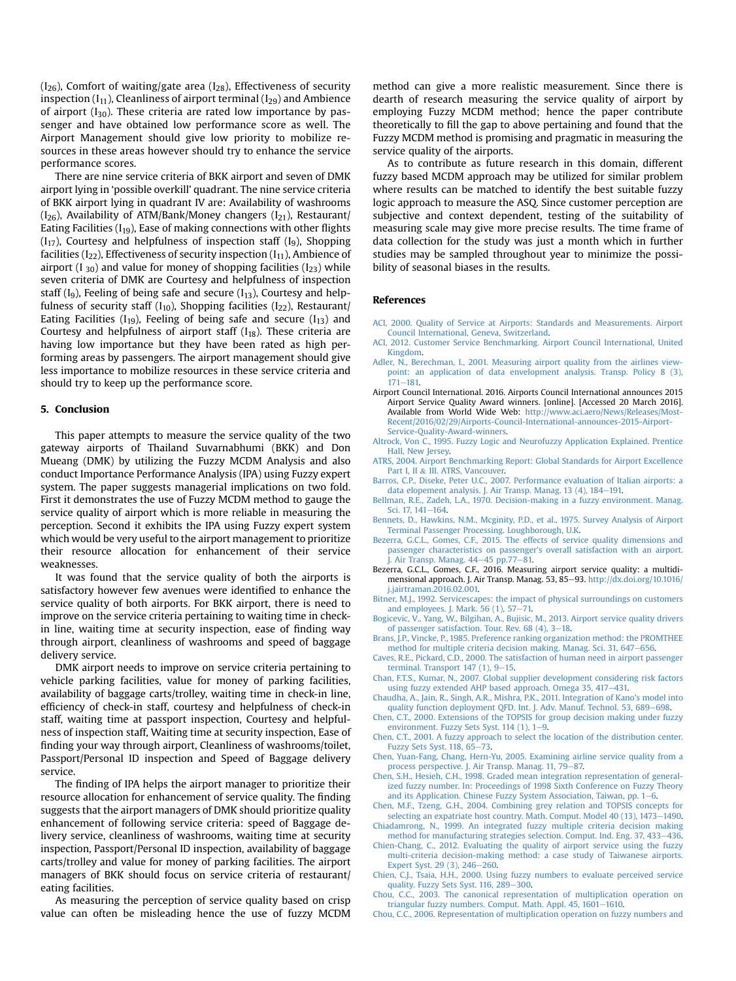<span id="page-8-0"></span> $(I_{26})$ , Comfort of waiting/gate area  $(I_{28})$ , Effectiveness of security inspection  $(I_{11})$ , Cleanliness of airport terminal  $(I_{29})$  and Ambience of airport  $(I_{30})$ . These criteria are rated low importance by passenger and have obtained low performance score as well. The Airport Management should give low priority to mobilize resources in these areas however should try to enhance the service performance scores.

There are nine service criteria of BKK airport and seven of DMK airport lying in 'possible overkill' quadrant. The nine service criteria of BKK airport lying in quadrant IV are: Availability of washrooms  $(I_{26})$ , Availability of ATM/Bank/Money changers  $(I_{21})$ , Restaurant/ Eating Facilities  $(I_{19})$ , Ease of making connections with other flights  $(I_{17})$ , Courtesy and helpfulness of inspection staff  $(I_9)$ , Shopping facilities ( $I_{22}$ ), Effectiveness of security inspection ( $I_{11}$ ), Ambience of airport (I<sub>30</sub>) and value for money of shopping facilities (I<sub>23</sub>) while seven criteria of DMK are Courtesy and helpfulness of inspection staff  $(I_9)$ , Feeling of being safe and secure  $(I_{13})$ , Courtesy and helpfulness of security staff ( $I_{10}$ ), Shopping facilities ( $I_{22}$ ), Restaurant/ Eating Facilities ( $I_{19}$ ), Feeling of being safe and secure ( $I_{13}$ ) and Courtesy and helpfulness of airport staff  $(I_{18})$ . These criteria are having low importance but they have been rated as high performing areas by passengers. The airport management should give less importance to mobilize resources in these service criteria and should try to keep up the performance score.

#### 5. Conclusion

This paper attempts to measure the service quality of the two gateway airports of Thailand Suvarnabhumi (BKK) and Don Mueang (DMK) by utilizing the Fuzzy MCDM Analysis and also conduct Importance Performance Analysis (IPA) using Fuzzy expert system. The paper suggests managerial implications on two fold. First it demonstrates the use of Fuzzy MCDM method to gauge the service quality of airport which is more reliable in measuring the perception. Second it exhibits the IPA using Fuzzy expert system which would be very useful to the airport management to prioritize their resource allocation for enhancement of their service weaknesses.

It was found that the service quality of both the airports is satisfactory however few avenues were identified to enhance the service quality of both airports. For BKK airport, there is need to improve on the service criteria pertaining to waiting time in checkin line, waiting time at security inspection, ease of finding way through airport, cleanliness of washrooms and speed of baggage delivery service.

DMK airport needs to improve on service criteria pertaining to vehicle parking facilities, value for money of parking facilities, availability of baggage carts/trolley, waiting time in check-in line, efficiency of check-in staff, courtesy and helpfulness of check-in staff, waiting time at passport inspection, Courtesy and helpfulness of inspection staff, Waiting time at security inspection, Ease of finding your way through airport, Cleanliness of washrooms/toilet, Passport/Personal ID inspection and Speed of Baggage delivery service.

The finding of IPA helps the airport manager to prioritize their resource allocation for enhancement of service quality. The finding suggests that the airport managers of DMK should prioritize quality enhancement of following service criteria: speed of Baggage delivery service, cleanliness of washrooms, waiting time at security inspection, Passport/Personal ID inspection, availability of baggage carts/trolley and value for money of parking facilities. The airport managers of BKK should focus on service criteria of restaurant/ eating facilities.

As measuring the perception of service quality based on crisp value can often be misleading hence the use of fuzzy MCDM method can give a more realistic measurement. Since there is dearth of research measuring the service quality of airport by employing Fuzzy MCDM method; hence the paper contribute theoretically to fill the gap to above pertaining and found that the Fuzzy MCDM method is promising and pragmatic in measuring the service quality of the airports.

As to contribute as future research in this domain, different fuzzy based MCDM approach may be utilized for similar problem where results can be matched to identify the best suitable fuzzy logic approach to measure the ASQ. Since customer perception are subjective and context dependent, testing of the suitability of measuring scale may give more precise results. The time frame of data collection for the study was just a month which in further studies may be sampled throughout year to minimize the possibility of seasonal biases in the results.

#### References

- [ACI, 2000. Quality of Service at Airports: Standards and Measurements. Airport](http://refhub.elsevier.com/S0969-6997(16)30124-7/sref1) [Council International, Geneva, Switzerland.](http://refhub.elsevier.com/S0969-6997(16)30124-7/sref1)
- [ACI, 2012. Customer Service Benchmarking. Airport Council International, United](http://refhub.elsevier.com/S0969-6997(16)30124-7/sref2) [Kingdom](http://refhub.elsevier.com/S0969-6997(16)30124-7/sref2).
- [Adler, N., Berechman, I., 2001. Measuring airport quality from the airlines view](http://refhub.elsevier.com/S0969-6997(16)30124-7/sref3)[point: an application of data envelopment analysis. Transp. Policy 8 \(3\),](http://refhub.elsevier.com/S0969-6997(16)30124-7/sref3)  $171 - 181.$  $171 - 181.$  $171 - 181.$
- Airport Council International. 2016. Airports Council International announces 2015 Airport Service Quality Award winners. [online]. [Accessed 20 March 2016]. Available from World Wide Web: [http://www.aci.aero/News/Releases/Most-](http://www.aci.aero/News/Releases/Most-Recent/2016/02/29/Airports-Council-International-announces-2015-Airport-Service-Quality-Award-winners)[Recent/2016/02/29/Airports-Council-International-announces-2015-Airport-](http://www.aci.aero/News/Releases/Most-Recent/2016/02/29/Airports-Council-International-announces-2015-Airport-Service-Quality-Award-winners)[Service-Quality-Award-winners.](http://www.aci.aero/News/Releases/Most-Recent/2016/02/29/Airports-Council-International-announces-2015-Airport-Service-Quality-Award-winners)
- [Altrock, Von C., 1995. Fuzzy Logic and Neurofuzzy Application Explained. Prentice](http://refhub.elsevier.com/S0969-6997(16)30124-7/sref6) [Hall, New Jersey.](http://refhub.elsevier.com/S0969-6997(16)30124-7/sref6)
- [ATRS, 2004. Airport Benchmarking Report: Global Standards for Airport Excellence](http://refhub.elsevier.com/S0969-6997(16)30124-7/sref7) [Part I, II](http://refhub.elsevier.com/S0969-6997(16)30124-7/sref7) & [III. ATRS, Vancouver](http://refhub.elsevier.com/S0969-6997(16)30124-7/sref7).
- [Barros, C.P., Diseke, Peter U.C., 2007. Performance evaluation of Italian airports: a](http://refhub.elsevier.com/S0969-6997(16)30124-7/sref8) [data elopement analysis. J. Air Transp. Manag. 13 \(4\), 184](http://refhub.elsevier.com/S0969-6997(16)30124-7/sref8)-[191.](http://refhub.elsevier.com/S0969-6997(16)30124-7/sref8)
- [Bellman, R.E., Zadeh, L.A., 1970. Decision-making in a fuzzy environment. Manag.](http://refhub.elsevier.com/S0969-6997(16)30124-7/sref9) [Sci. 17, 141](http://refhub.elsevier.com/S0969-6997(16)30124-7/sref9)-[164](http://refhub.elsevier.com/S0969-6997(16)30124-7/sref9).
- [Bennets, D., Hawkins, N.M., Mcginity, P.D., et al., 1975. Survey Analysis of Airport](http://refhub.elsevier.com/S0969-6997(16)30124-7/sref10) [Terminal Passenger Processing. Loughborough, U.K.](http://refhub.elsevier.com/S0969-6997(16)30124-7/sref10)
- [Bezerra, G.C.L., Gomes, C.F., 2015. The effects of service quality dimensions and](http://refhub.elsevier.com/S0969-6997(16)30124-7/sref11) [passenger characteristics on passenger's overall satisfaction with an airport.](http://refhub.elsevier.com/S0969-6997(16)30124-7/sref11)  $\hat{I}$ . Air Transp. Manag. 44–[45 pp.77](http://refhub.elsevier.com/S0969-6997(16)30124-7/sref11)–[81.](http://refhub.elsevier.com/S0969-6997(16)30124-7/sref11)
- Bezerra, G.C.L., Gomes, C.F., 2016. Measuring airport service quality: a multidimensional approach. J. Air Transp. Manag. 53, 85-93. [http://dx.doi.org/10.1016/](http://dx.doi.org/10.1016/j.jairtraman.2016.02.001) [j.jairtraman.2016.02.001.](http://dx.doi.org/10.1016/j.jairtraman.2016.02.001)
- [Bitner, M.J., 1992. Servicescapes: the impact of physical surroundings on customers](http://refhub.elsevier.com/S0969-6997(16)30124-7/sref13)
- [and employees. J. Mark. 56 \(1\), 57](http://refhub.elsevier.com/S0969-6997(16)30124-7/sref13)–[71.](http://refhub.elsevier.com/S0969-6997(16)30124-7/sref13)<br>[Bogicevic, V., Yang, W., Bilgihan, A., Bujisic, M., 2013. Airport service quality drivers](http://refhub.elsevier.com/S0969-6997(16)30124-7/sref14) of passenger satisfaction. Tour. Rev.  $68$  (4),  $3-18$  $3-18$ .
- [Brans, J.P., Vincke, P., 1985. Preference ranking organization method: the PROMTHEE](http://refhub.elsevier.com/S0969-6997(16)30124-7/sref15) method for multiple criteria decision making. Manag. Sci.  $31, 647-656$ .
- [Caves, R.E., Pickard, C.D., 2000. The satisfaction of human need in airport passenger](http://refhub.elsevier.com/S0969-6997(16)30124-7/sref16) terminal. Transport  $147$  (1),  $9-15$ .
- [Chan, F.T.S., Kumar, N., 2007. Global supplier development considering risk factors](http://refhub.elsevier.com/S0969-6997(16)30124-7/sref17) [using fuzzy extended AHP based approach. Omega 35, 417](http://refhub.elsevier.com/S0969-6997(16)30124-7/sref17)-[431.](http://refhub.elsevier.com/S0969-6997(16)30124-7/sref17)
- [Chaudha, A., Jain, R., Singh, A.R., Mishra, P.K., 2011. Integration of Kano's model into](http://refhub.elsevier.com/S0969-6997(16)30124-7/sref18) [quality function deployment QFD. Int. J. Adv. Manuf. Technol. 53, 689](http://refhub.elsevier.com/S0969-6997(16)30124-7/sref18)-[698](http://refhub.elsevier.com/S0969-6997(16)30124-7/sref18).
- [Chen, C.T., 2000. Extensions of the TOPSIS for group decision making under fuzzy](http://refhub.elsevier.com/S0969-6997(16)30124-7/sref19) environment. Fuzzy Sets Syst.  $114$  (1),  $1-9$ .
- [Chen, C.T., 2001. A fuzzy approach to select the location of the distribution center.](http://refhub.elsevier.com/S0969-6997(16)30124-7/sref20) Fuzzy Sets Syst.  $118, 65-73$  $118, 65-73$ .
- [Chen, Yuan-Fang, Chang, Hern-Yu, 2005. Examining airline service quality from a](http://refhub.elsevier.com/S0969-6997(16)30124-7/sref21) [process perspective. J. Air Transp. Manag. 11, 79](http://refhub.elsevier.com/S0969-6997(16)30124-7/sref21)-[87.](http://refhub.elsevier.com/S0969-6997(16)30124-7/sref21)
- [Chen, S.H., Hesieh, C.H., 1998. Graded mean integration representation of general](http://refhub.elsevier.com/S0969-6997(16)30124-7/sref22)[ized fuzzy number. In: Proceedings of 1998 Sixth Conference on Fuzzy Theory](http://refhub.elsevier.com/S0969-6997(16)30124-7/sref22) and its Application. Chinese Fuzzy System Association, Taiwan, pp.  $1-6$  $1-6$ .
- [Chen, M.F., Tzeng, G.H., 2004. Combining grey relation and TOPSIS concepts for](http://refhub.elsevier.com/S0969-6997(16)30124-7/sref23) [selecting an expatriate host country. Math. Comput. Model 40 \(13\), 1473](http://refhub.elsevier.com/S0969-6997(16)30124-7/sref23)-[1490](http://refhub.elsevier.com/S0969-6997(16)30124-7/sref23).
- [Chiadamrong, N., 1999. An integrated fuzzy multiple criteria decision making](http://refhub.elsevier.com/S0969-6997(16)30124-7/sref24) [method for manufacturing strategies selection. Comput. Ind. Eng. 37, 433](http://refhub.elsevier.com/S0969-6997(16)30124-7/sref24)-[436](http://refhub.elsevier.com/S0969-6997(16)30124-7/sref24).
- [Chien-Chang, C., 2012. Evaluating the quality of airport service using the fuzzy](http://refhub.elsevier.com/S0969-6997(16)30124-7/sref25) [multi-criteria decision-making method: a case study of Taiwanese airports.](http://refhub.elsevier.com/S0969-6997(16)30124-7/sref25) [Expert Syst. 29 \(3\), 246](http://refhub.elsevier.com/S0969-6997(16)30124-7/sref25)-[260.](http://refhub.elsevier.com/S0969-6997(16)30124-7/sref25)
- [Chien, C.J., Tsaia, H.H., 2000. Using fuzzy numbers to evaluate perceived service](http://refhub.elsevier.com/S0969-6997(16)30124-7/sref26) [quality. Fuzzy Sets Syst. 116, 289](http://refhub.elsevier.com/S0969-6997(16)30124-7/sref26)-[300.](http://refhub.elsevier.com/S0969-6997(16)30124-7/sref26)
- [Chou, C.C., 2003. The canonical representation of multiplication operation on](http://refhub.elsevier.com/S0969-6997(16)30124-7/sref27) [triangular fuzzy numbers. Comput. Math. Appl. 45, 1601](http://refhub.elsevier.com/S0969-6997(16)30124-7/sref27)-[1610](http://refhub.elsevier.com/S0969-6997(16)30124-7/sref27).
- [Chou, C.C., 2006. Representation of multiplication operation on fuzzy numbers and](http://refhub.elsevier.com/S0969-6997(16)30124-7/sref28)